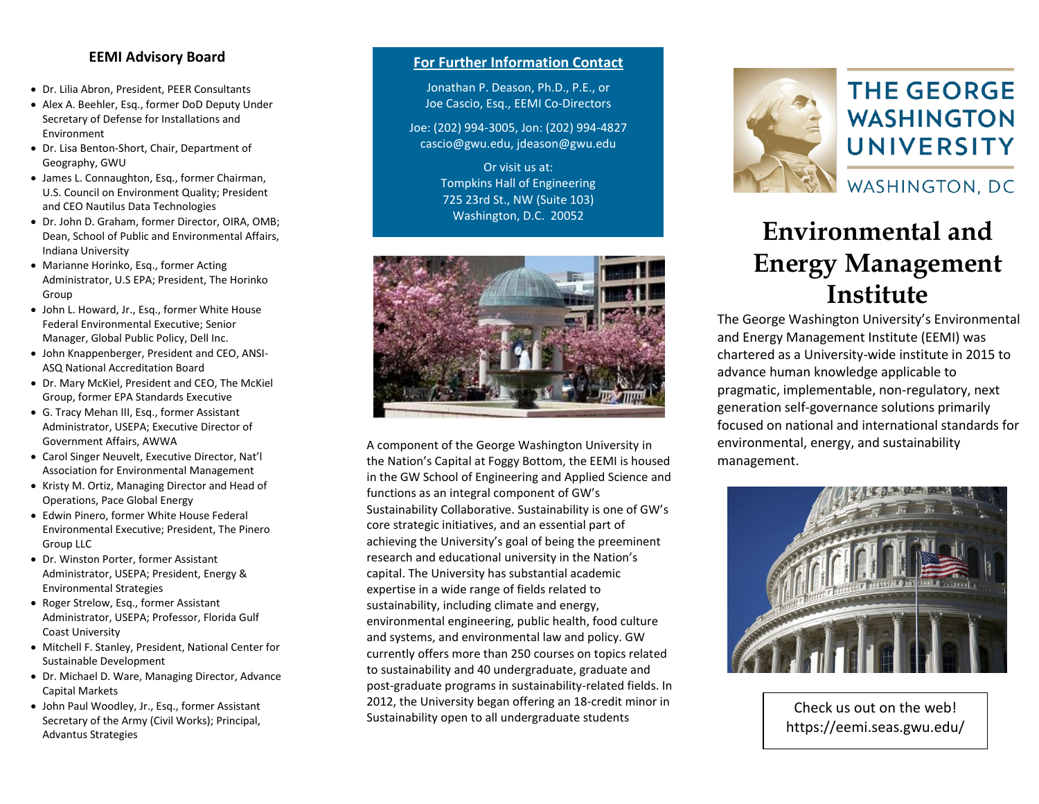#### **EEMI Advisory Board**

- Dr. Lilia Abron, President, PEER Consultants
- Alex A. Beehler, Esq., former DoD Deputy Under Secretary of Defense for Installations and Environment
- Dr. Lisa Benton-Short, Chair, Department of Geography, GWU
- James L. Connaughton, Esq., former Chairman, U.S. Council on Environment Quality; President and CEO Nautilus Data Technologies
- Dr. John D. Graham, former Director, OIRA, OMB; Dean, School of Public and Environmental Affairs, Indiana University
- Marianne Horinko, Esq., former Acting Administrator, U.S EPA; President, The Horinko Group
- John L. Howard, Jr., Esq., former White House Federal Environmental Executive; Senior Manager, Global Public Policy, Dell Inc.
- John Knappenberger, President and CEO, ANSI-ASQ National Accreditation Board
- Dr. Mary McKiel, President and CEO, The McKiel Group, former EPA Standards Executive
- G. Tracy Mehan III, Esq., former Assistant Administrator, USEPA; Executive Director of Government Affairs, AWWA
- Carol Singer Neuvelt, Executive Director, Nat'l Association for Environmental Management
- Kristy M. Ortiz, Managing Director and Head of Operations, Pace Global Energy
- Edwin Pinero, former White House Federal Environmental Executive; President, The Pinero Group LLC
- Dr. Winston Porter, former Assistant Administrator, USEPA; President, Energy & Environmental Strategies
- Roger Strelow, Esq., former Assistant Administrator, USEPA; Professor, Florida Gulf Coast University
- Mitchell F. Stanley, President, National Center for Sustainable Development
- Dr. Michael D. Ware, Managing Director, Advance Capital Markets
- John Paul Woodley, Jr., Esq., former Assistant Secretary of the Army (Civil Works); Principal, Advantus Strategies

#### **For Further Information Contact**

Jonathan P. Deason, Ph.D., P.E., or Joe Cascio, Esq., EEMI Co-Directors

Joe: (202) 994-3005, Jon: (202) 994-4827 cascio@gwu.edu, jdeason@gwu.edu

> Or visit us at: Tompkins Hall of Engineering 725 23rd St., NW (Suite 103) Washington, D.C. 20052



A component of the George Washington University in the Nation's Capital at Foggy Bottom, the EEMI is housed in the GW School of Engineering and Applied Science and functions as an integral component of GW's Sustainability Collaborative. Sustainability is one of GW's core strategic initiatives, and an essential part of achieving the University's goal of being the preeminent research and educational university in the Nation's capital. The University has substantial academic expertise in a wide range of fields related to sustainability, including climate and energy, environmental engineering, public health, food culture and systems, and environmental law and policy. GW currently offers more than 250 courses on topics related to sustainability and 40 undergraduate, graduate and post-graduate programs in sustainability-related fields. In 2012, the University began offering an 18-credit minor in Sustainability open to all undergraduate students



# **THE GEORGE WASHINGTON** UNIVERSITY

### WASHINGTON, DC

## **Environmental and Energy Management Institute**

The George Washington University's Environmental and Energy Management Institute (EEMI) was chartered as a University-wide institute in 2015 to advance human knowledge applicable to pragmatic, implementable, non-regulatory, next generation self-governance solutions primarily focused on national and international standards for environmental, energy, and sustainability management.



Check us out on the web! https://eemi.seas.gwu.edu/